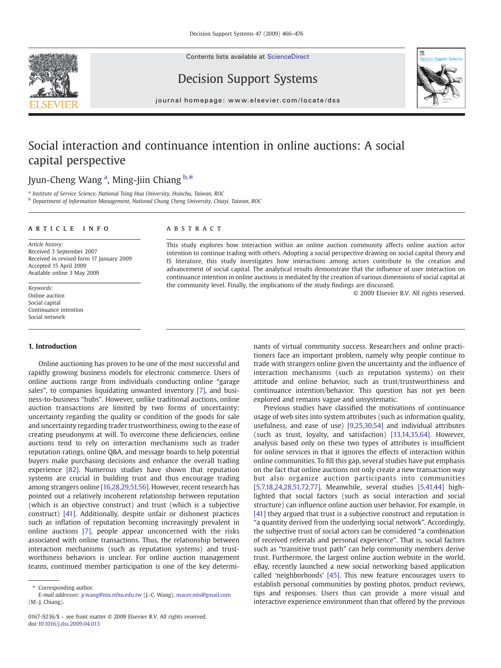Contents lists available at [ScienceDirect](http://www.sciencedirect.com/science/journal/01679236)





Decision Support Systems

journal homepage: www.elsevier.com/locate/dss

## Social interaction and continuance intention in online auctions: A social capital perspective

## Jyun-Cheng Wang <sup>a</sup>, Ming-Jiin Chiang <sup>b,\*</sup>

<sup>a</sup> Institute of Service Science, National Tsing Hua University, Hsinchu, Taiwan, ROC

<sup>b</sup> Department of Information Management, National Chung Cheng University, Chiayi, Taiwan, ROC

### article info abstract

Article history: Received 3 September 2007 Received in revised form 17 January 2009 Accepted 15 April 2009 Available online 3 May 2009

Keywords: Online auction Social capital Continuance intention Social network

### 1. Introduction

Online auctioning has proven to be one of the most successful and rapidly growing business models for electronic commerce. Users of online auctions range from individuals conducting online "garage sales", to companies liquidating unwanted inventory [\[7\]](#page--1-0), and business-to-business "hubs". However, unlike traditional auctions, online auction transactions are limited by two forms of uncertainty: uncertainty regarding the quality or condition of the goods for sale and uncertainty regarding trader trustworthiness, owing to the ease of creating pseudonyms at will. To overcome these deficiencies, online auctions tend to rely on interaction mechanisms such as trader reputation ratings, online Q&A, and message boards to help potential buyers make purchasing decisions and enhance the overall trading experience [\[82\].](#page--1-0) Numerous studies have shown that reputation systems are crucial in building trust and thus encourage trading among strangers online [\[16,28,29,51,56\].](#page--1-0) However, recent research has pointed out a relatively incoherent relationship between reputation (which is an objective construct) and trust (which is a subjective construct) [\[41\].](#page--1-0) Additionally, despite unfair or dishonest practices such as inflation of reputation becoming increasingly prevalent in online auctions [\[7\]](#page--1-0), people appear unconcerned with the risks associated with online transactions. Thus, the relationship between interaction mechanisms (such as reputation systems) and trustworthiness behaviors is unclear. For online auction management teams, continued member participation is one of the key determi-

This study explores how interaction within an online auction community affects online auction actor intention to continue trading with others. Adopting a social perspective drawing on social capital theory and IS literature, this study investigates how interactions among actors contribute to the creation and advancement of social capital. The analytical results demonstrate that the influence of user interaction on continuance intention in online auctions is mediated by the creation of various dimensions of social capital at the community level. Finally, the implications of the study findings are discussed.

© 2009 Elsevier B.V. All rights reserved.

nants of virtual community success. Researchers and online practitioners face an important problem, namely why people continue to trade with strangers online given the uncertainty and the influence of interaction mechanisms (such as reputation systems) on their attitude and online behavior, such as trust/trustworthiness and continuance intention/behavior. This question has not yet been explored and remains vague and unsystematic.

Previous studies have classified the motivations of continuance usage of web sites into system attributes (such as information quality, usefulness, and ease of use) [\[9,25,30,54\]](#page--1-0) and individual attributes (such as trust, loyalty, and satisfaction) [\[13,14,35,64\]](#page--1-0). However, analysis based only on these two types of attributes is insufficient for online services in that it ignores the effects of interaction within online communities. To fill this gap, several studies have put emphasis on the fact that online auctions not only create a new transaction way but also organize auction participants into communities [\[5,7,18,24,28,51,72,77\].](#page--1-0) Meanwhile, several studies [\[5,41,44\]](#page--1-0) highlighted that social factors (such as social interaction and social structure) can influence online auction user behavior. For example, in [\[41\]](#page--1-0) they argued that trust is a subjective construct and reputation is "a quantity derived from the underlying social network". Accordingly, the subjective trust of social actors can be considered "a combination of received referrals and personal experience". That is, social factors such as "transitive trust path" can help community members derive trust. Furthermore, the largest online auction website in the world, eBay, recently launched a new social networking based application called 'neighborhoods' [\[45\].](#page--1-0) This new feature encourages users to establish personal communities by posting photos, product reviews, tips and responses. Users thus can provide a more visual and interactive experience environment than that offered by the previous

<sup>⁎</sup> Corresponding author.

E-mail addresses: [jcwang@mx.nthu.edu.tw](mailto:jcwang@mx.nthu.edu.tw) (J.-C. Wang), [macer.mis@gmail.com](mailto:macer.mis@gmail.com) (M.-J. Chiang).

<sup>0167-9236/\$</sup> – see front matter © 2009 Elsevier B.V. All rights reserved. doi[:10.1016/j.dss.2009.04.013](http://dx.doi.org/10.1016/j.dss.2009.04.013)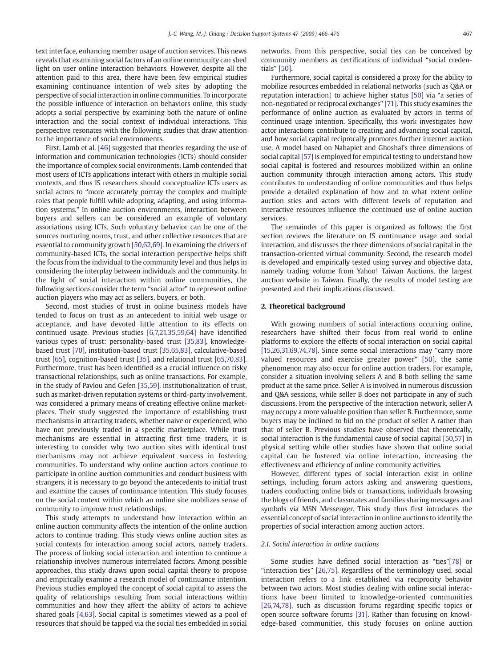text interface, enhancing member usage of auction services. This news reveals that examining social factors of an online community can shed light on user online interaction behaviors. However, despite all the attention paid to this area, there have been few empirical studies examining continuance intention of web sites by adopting the perspective of social interaction in online communities. To incorporate the possible influence of interaction on behaviors online, this study adopts a social perspective by examining both the nature of online interaction and the social context of individual interactions. This perspective resonates with the following studies that draw attention to the importance of social environments.

First, Lamb et al. [\[46\]](#page--1-0) suggested that theories regarding the use of information and communication technologies (ICTs) should consider the importance of complex social environments. Lamb contended that most users of ICTs applications interact with others in multiple social contexts, and thus IS researchers should conceptualize ICTs users as social actors to "more accurately portray the complex and multiple roles that people fulfill while adopting, adapting, and using information systems." In online auction environments, interaction between buyers and sellers can be considered an example of voluntary associations using ICTs. Such voluntary behavior can be one of the sources nurturing norms, trust, and other collective resources that are essential to community growth [\[50,62,69\]](#page--1-0). In examining the drivers of community-based ICTs, the social interaction perspective helps shift the focus from the individual to the community level and thus helps in considering the interplay between individuals and the community. In the light of social interaction within online communities, the following sections consider the term "social actor" to represent online auction players who may act as sellers, buyers, or both.

Second, most studies of trust in online business models have tended to focus on trust as an antecedent to initial web usage or acceptance, and have devoted little attention to its effects on continued usage. Previous studies [\[6,7,21,35,59,64\]](#page--1-0) have identified various types of trust: personality-based trust [\[35,83\]](#page--1-0), knowledgebased trust [\[70\],](#page--1-0) institution-based trust [\[35,65,83\]](#page--1-0), calculative-based trust [\[65\]](#page--1-0), cognition-based trust [\[35\]](#page--1-0), and relational trust [\[65,70,83\].](#page--1-0) Furthermore, trust has been identified as a crucial influence on risky transactional relationships, such as online transactions. For example, in the study of Pavlou and Gefen [\[35,59\]](#page--1-0), institutionalization of trust, such as market-driven reputation systems or third-party involvement, was considered a primary means of creating effective online marketplaces. Their study suggested the importance of establishing trust mechanisms in attracting traders, whether naive or experienced, who have not previously traded in a specific marketplace. While trust mechanisms are essential in attracting first time traders, it is interesting to consider why two auction sites with identical trust mechanisms may not achieve equivalent success in fostering communities. To understand why online auction actors continue to participate in online auction communities and conduct business with strangers, it is necessary to go beyond the antecedents to initial trust and examine the causes of continuance intention. This study focuses on the social context within which an online site mobilizes sense of community to improve trust relationships.

This study attempts to understand how interaction within an online auction community affects the intention of the online auction actors to continue trading. This study views online auction sites as social contexts for interaction among social actors, namely traders. The process of linking social interaction and intention to continue a relationship involves numerous interrelated factors. Among possible approaches, this study draws upon social capital theory to propose and empirically examine a research model of continuance intention. Previous studies employed the concept of social capital to assess the quality of relationships resulting from social interactions within communities and how they affect the ability of actors to achieve shared goals [\[4,63\].](#page--1-0) Social capital is sometimes viewed as a pool of resources that should be tapped via the social ties embedded in social

networks. From this perspective, social ties can be conceived by community members as certifications of individual "social credentials" [\[50\]](#page--1-0).

Furthermore, social capital is considered a proxy for the ability to mobilize resources embedded in relational networks (such as Q&A or reputation interaction) to achieve higher status [\[50\]](#page--1-0) via "a series of non-negotiated or reciprocal exchanges" [\[71\].](#page--1-0) This study examines the performance of online auction as evaluated by actors in terms of continued usage intention. Specifically, this work investigates how actor interactions contribute to creating and advancing social capital, and how social capital reciprocally promotes further internet auction use. A model based on Nahapiet and Ghoshal's three dimensions of social capital [\[57\]](#page--1-0) is employed for empirical testing to understand how social capital is fostered and resources mobilized within an online auction community through interaction among actors. This study contributes to understanding of online communities and thus helps provide a detailed explanation of how and to what extent online auction sties and actors with different levels of reputation and interactive resources influence the continued use of online auction services.

The remainder of this paper is organized as follows: the first section reviews the literature on IS continuance usage and social interaction, and discusses the three dimensions of social capital in the transaction-oriented virtual community. Second, the research model is developed and empirically tested using survey and objective data, namely trading volume from Yahoo! Taiwan Auctions, the largest auction website in Taiwan. Finally, the results of model testing are presented and their implications discussed.

### 2. Theoretical background

With growing numbers of social interactions occurring online, researchers have shifted their focus from real world to online platforms to explore the effects of social interaction on social capital [\[15,26,31,69,74,78\].](#page--1-0) Since some social interactions may "carry more valued resources and exercise greater power" [\[50\]](#page--1-0), the same phenomenon may also occur for online auction traders. For example, consider a situation involving sellers A and B both selling the same product at the same price. Seller A is involved in numerous discussion and Q&A sessions, while seller B does not participate in any of such discussions. From the perspective of the interaction network, seller A may occupy a more valuable position than seller B. Furthermore, some buyers may be inclined to bid on the product of seller A rather than that of seller B. Previous studies have observed that theoretically, social interaction is the fundamental cause of social capital [\[50,57\]](#page--1-0) in physical setting while other studies have shown that online social capital can be fostered via online interaction, increasing the effectiveness and efficiency of online community activities.

However, different types of social interaction exist in online settings, including forum actors asking and answering questions, traders conducting online bids or transactions, individuals browsing the blogs of friends, and classmates and families sharing messages and symbols via MSN Messenger. This study thus first introduces the essential concept of social interaction in online auctions to identify the properties of social interaction among auction actors.

### 2.1. Social interaction in online auctions

Some studies have defined social interaction as "ties"[\[78\]](#page--1-0) or "interaction ties" [\[26,75\]](#page--1-0). Regardless of the terminology used, social interaction refers to a link established via reciprocity behavior between two actors. Most studies dealing with online social interactions have been limited to knowledge-oriented communities [\[26,74,78\],](#page--1-0) such as discussion forums regarding specific topics or open source software forums [\[31\]](#page--1-0). Rather than focusing on knowledge-based communities, this study focuses on online auction